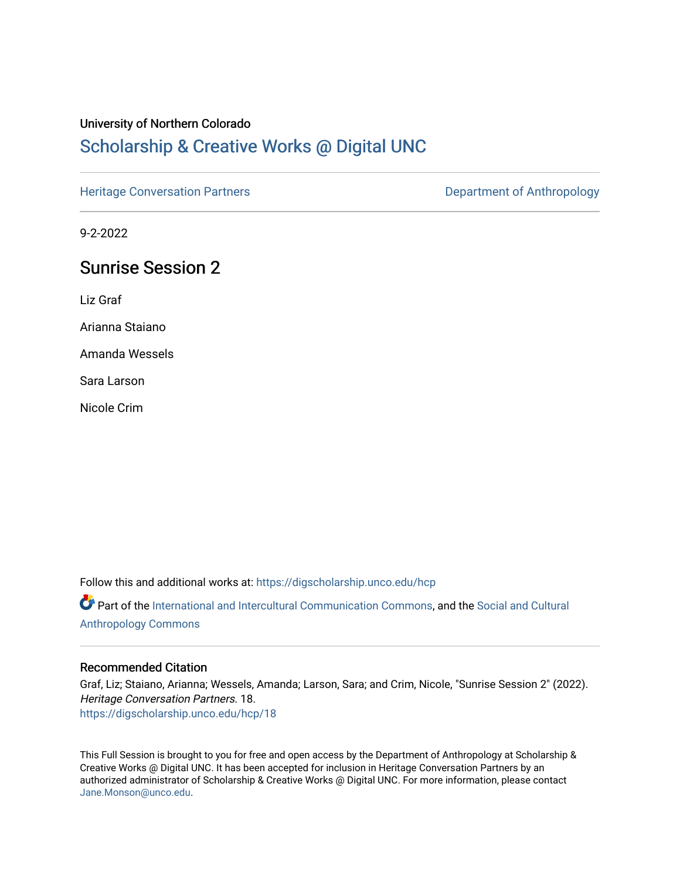#### University of Northern Colorado

# [Scholarship & Creative Works @ Digital UNC](https://digscholarship.unco.edu/)

[Heritage Conversation Partners](https://digscholarship.unco.edu/hcp) **Department of Anthropology** 

9-2-2022

# Sunrise Session 2

Liz Graf

Arianna Staiano

Amanda Wessels

Sara Larson

Nicole Crim

Follow this and additional works at: [https://digscholarship.unco.edu/hcp](https://digscholarship.unco.edu/hcp?utm_source=digscholarship.unco.edu%2Fhcp%2F18&utm_medium=PDF&utm_campaign=PDFCoverPages) 

Part of the [International and Intercultural Communication Commons,](http://network.bepress.com/hgg/discipline/331?utm_source=digscholarship.unco.edu%2Fhcp%2F18&utm_medium=PDF&utm_campaign=PDFCoverPages) and the [Social and Cultural](http://network.bepress.com/hgg/discipline/323?utm_source=digscholarship.unco.edu%2Fhcp%2F18&utm_medium=PDF&utm_campaign=PDFCoverPages)  [Anthropology Commons](http://network.bepress.com/hgg/discipline/323?utm_source=digscholarship.unco.edu%2Fhcp%2F18&utm_medium=PDF&utm_campaign=PDFCoverPages)

#### Recommended Citation

Graf, Liz; Staiano, Arianna; Wessels, Amanda; Larson, Sara; and Crim, Nicole, "Sunrise Session 2" (2022). Heritage Conversation Partners. 18. [https://digscholarship.unco.edu/hcp/18](https://digscholarship.unco.edu/hcp/18?utm_source=digscholarship.unco.edu%2Fhcp%2F18&utm_medium=PDF&utm_campaign=PDFCoverPages) 

This Full Session is brought to you for free and open access by the Department of Anthropology at Scholarship & Creative Works @ Digital UNC. It has been accepted for inclusion in Heritage Conversation Partners by an authorized administrator of Scholarship & Creative Works @ Digital UNC. For more information, please contact [Jane.Monson@unco.edu.](mailto:Jane.Monson@unco.edu)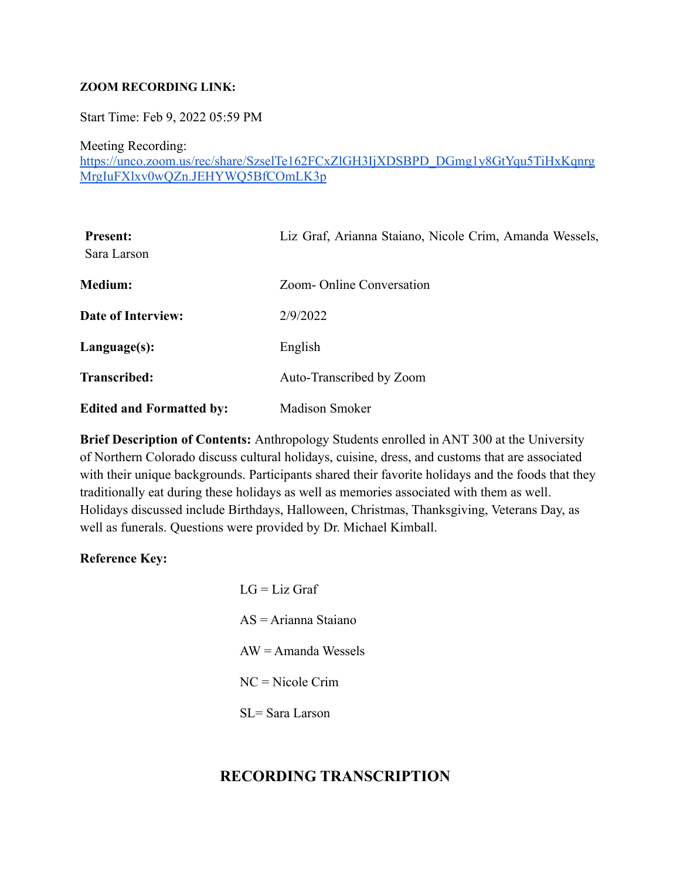#### **ZOOM RECORDING LINK:**

Start Time: Feb 9, 2022 05:59 PM

Meeting Recording:

[https://unco.zoom.us/rec/share/SzselTe162FCxZlGH3IjXDSBPD\\_DGmg1y8GtYqu5TiHxKqnrg](https://unco.zoom.us/rec/share/SzselTe162FCxZlGH3IjXDSBPD_DGmg1y8GtYqu5TiHxKqnrgMrgIuFXlxv0wQZn.JEHYWQ5BfCOmLK3p) [MrgIuFXlxv0wQZn.JEHYWQ5BfCOmLK3p](https://unco.zoom.us/rec/share/SzselTe162FCxZlGH3IjXDSBPD_DGmg1y8GtYqu5TiHxKqnrgMrgIuFXlxv0wQZn.JEHYWQ5BfCOmLK3p)

| <b>Present:</b><br>Sara Larson  | Liz Graf, Arianna Staiano, Nicole Crim, Amanda Wessels, |
|---------------------------------|---------------------------------------------------------|
| <b>Medium:</b>                  | Zoom-Online Conversation                                |
| Date of Interview:              | 2/9/2022                                                |
| Language(s):                    | English                                                 |
| <b>Transcribed:</b>             | Auto-Transcribed by Zoom                                |
| <b>Edited and Formatted by:</b> | <b>Madison Smoker</b>                                   |

**Brief Description of Contents:** Anthropology Students enrolled in ANT 300 at the University of Northern Colorado discuss cultural holidays, cuisine, dress, and customs that are associated with their unique backgrounds. Participants shared their favorite holidays and the foods that they traditionally eat during these holidays as well as memories associated with them as well. Holidays discussed include Birthdays, Halloween, Christmas, Thanksgiving, Veterans Day, as well as funerals. Questions were provided by Dr. Michael Kimball.

#### **Reference Key:**

 $LG = Liz$  Graf AS = Arianna Staiano  $AW = A$ manda Wessels NC = Nicole Crim SL= Sara Larson

### **RECORDING TRANSCRIPTION**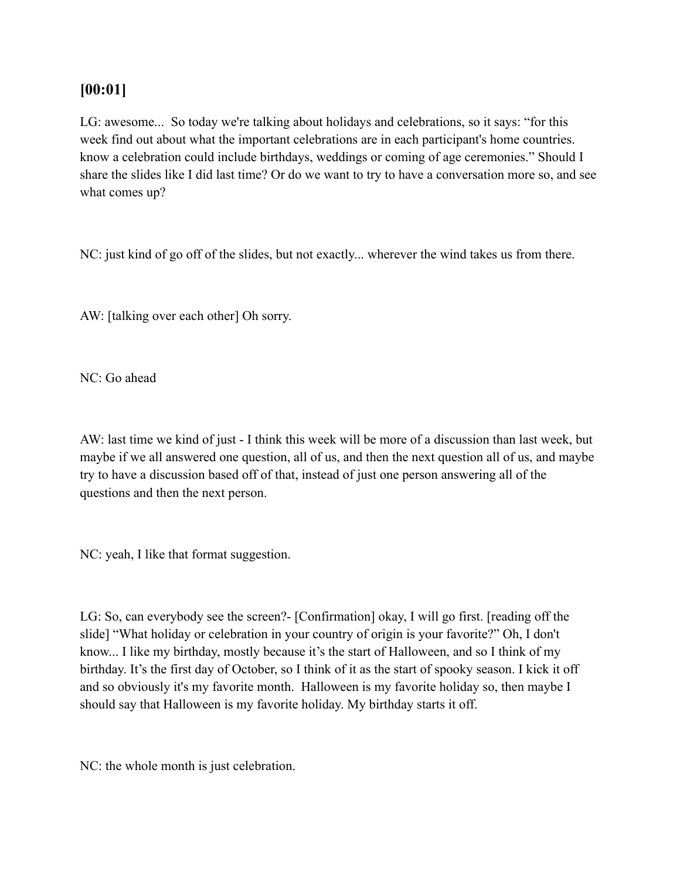## **[00:01]**

LG: awesome... So today we're talking about holidays and celebrations, so it says: "for this week find out about what the important celebrations are in each participant's home countries. know a celebration could include birthdays, weddings or coming of age ceremonies." Should I share the slides like I did last time? Or do we want to try to have a conversation more so, and see what comes up?

NC: just kind of go off of the slides, but not exactly... wherever the wind takes us from there.

AW: [talking over each other] Oh sorry.

NC: Go ahead

AW: last time we kind of just - I think this week will be more of a discussion than last week, but maybe if we all answered one question, all of us, and then the next question all of us, and maybe try to have a discussion based off of that, instead of just one person answering all of the questions and then the next person.

NC: yeah, I like that format suggestion.

LG: So, can everybody see the screen?- [Confirmation] okay, I will go first. [reading off the slide] "What holiday or celebration in your country of origin is your favorite?" Oh, I don't know... I like my birthday, mostly because it's the start of Halloween, and so I think of my birthday. It's the first day of October, so I think of it as the start of spooky season. I kick it off and so obviously it's my favorite month. Halloween is my favorite holiday so, then maybe I should say that Halloween is my favorite holiday. My birthday starts it off.

NC: the whole month is just celebration.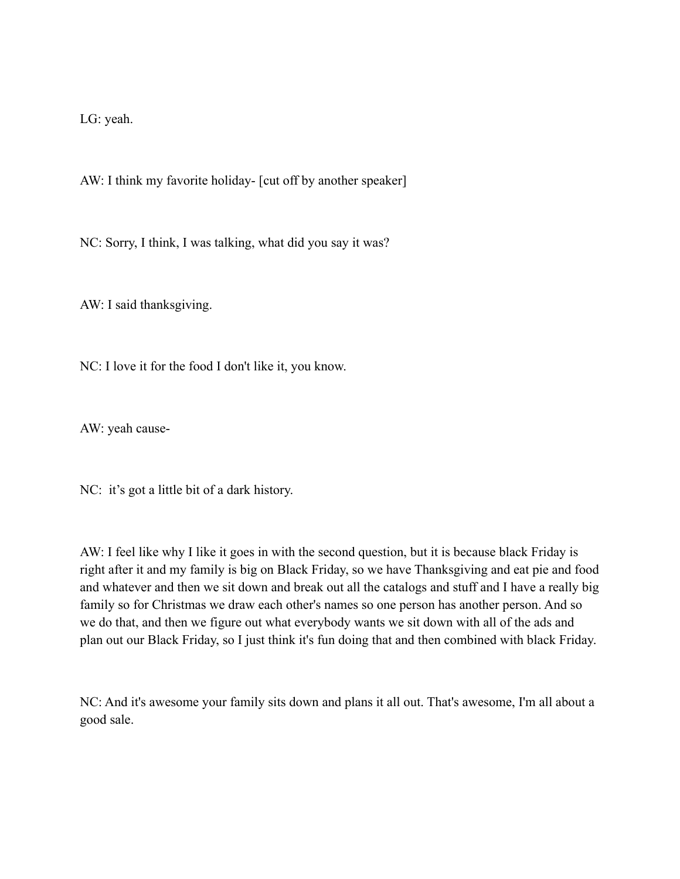LG: yeah.

AW: I think my favorite holiday- [cut off by another speaker]

NC: Sorry, I think, I was talking, what did you say it was?

AW: I said thanksgiving.

NC: I love it for the food I don't like it, you know.

AW: yeah cause-

NC: it's got a little bit of a dark history.

AW: I feel like why I like it goes in with the second question, but it is because black Friday is right after it and my family is big on Black Friday, so we have Thanksgiving and eat pie and food and whatever and then we sit down and break out all the catalogs and stuff and I have a really big family so for Christmas we draw each other's names so one person has another person. And so we do that, and then we figure out what everybody wants we sit down with all of the ads and plan out our Black Friday, so I just think it's fun doing that and then combined with black Friday.

NC: And it's awesome your family sits down and plans it all out. That's awesome, I'm all about a good sale.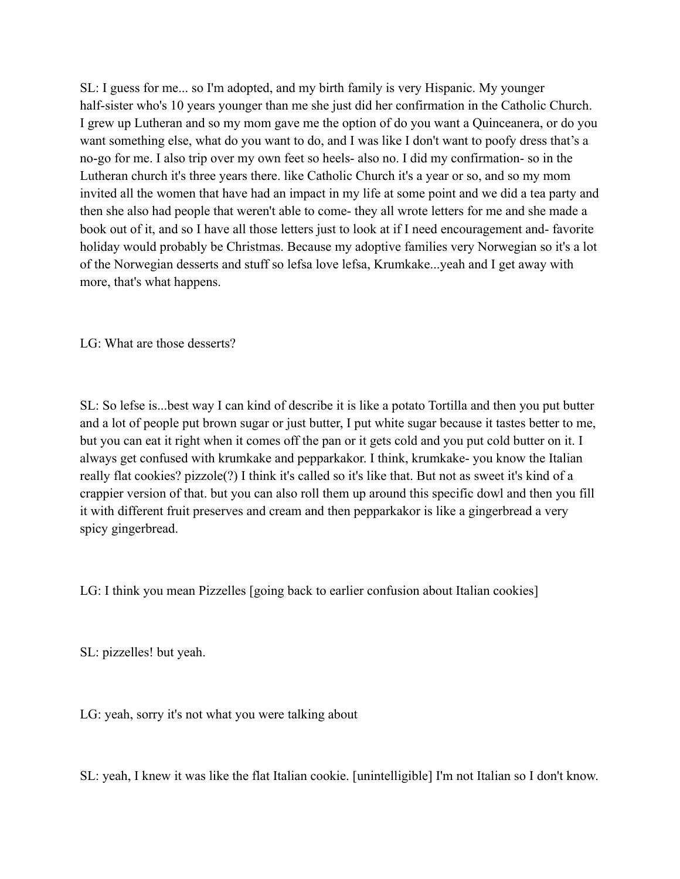SL: I guess for me... so I'm adopted, and my birth family is very Hispanic. My younger half-sister who's 10 years younger than me she just did her confirmation in the Catholic Church. I grew up Lutheran and so my mom gave me the option of do you want a Quinceanera, or do you want something else, what do you want to do, and I was like I don't want to poofy dress that's a no-go for me. I also trip over my own feet so heels- also no. I did my confirmation- so in the Lutheran church it's three years there. like Catholic Church it's a year or so, and so my mom invited all the women that have had an impact in my life at some point and we did a tea party and then she also had people that weren't able to come- they all wrote letters for me and she made a book out of it, and so I have all those letters just to look at if I need encouragement and- favorite holiday would probably be Christmas. Because my adoptive families very Norwegian so it's a lot of the Norwegian desserts and stuff so lefsa love lefsa, Krumkake...yeah and I get away with more, that's what happens.

LG: What are those desserts?

SL: So lefse is...best way I can kind of describe it is like a potato Tortilla and then you put butter and a lot of people put brown sugar or just butter, I put white sugar because it tastes better to me, but you can eat it right when it comes off the pan or it gets cold and you put cold butter on it. I always get confused with krumkake and pepparkakor. I think, krumkake- you know the Italian really flat cookies? pizzole(?) I think it's called so it's like that. But not as sweet it's kind of a crappier version of that. but you can also roll them up around this specific dowl and then you fill it with different fruit preserves and cream and then pepparkakor is like a gingerbread a very spicy gingerbread.

LG: I think you mean Pizzelles [going back to earlier confusion about Italian cookies]

SL: pizzelles! but yeah.

LG: yeah, sorry it's not what you were talking about

SL: yeah, I knew it was like the flat Italian cookie. [unintelligible] I'm not Italian so I don't know.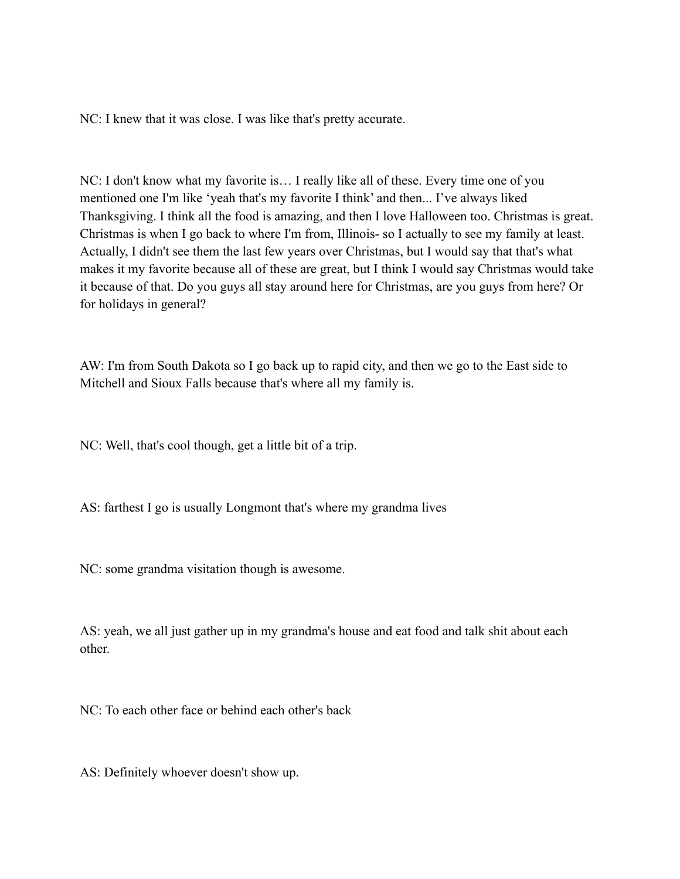NC: I knew that it was close. I was like that's pretty accurate.

NC: I don't know what my favorite is… I really like all of these. Every time one of you mentioned one I'm like 'yeah that's my favorite I think' and then... I've always liked Thanksgiving. I think all the food is amazing, and then I love Halloween too. Christmas is great. Christmas is when I go back to where I'm from, Illinois- so I actually to see my family at least. Actually, I didn't see them the last few years over Christmas, but I would say that that's what makes it my favorite because all of these are great, but I think I would say Christmas would take it because of that. Do you guys all stay around here for Christmas, are you guys from here? Or for holidays in general?

AW: I'm from South Dakota so I go back up to rapid city, and then we go to the East side to Mitchell and Sioux Falls because that's where all my family is.

NC: Well, that's cool though, get a little bit of a trip.

AS: farthest I go is usually Longmont that's where my grandma lives

NC: some grandma visitation though is awesome.

AS: yeah, we all just gather up in my grandma's house and eat food and talk shit about each other.

NC: To each other face or behind each other's back

AS: Definitely whoever doesn't show up.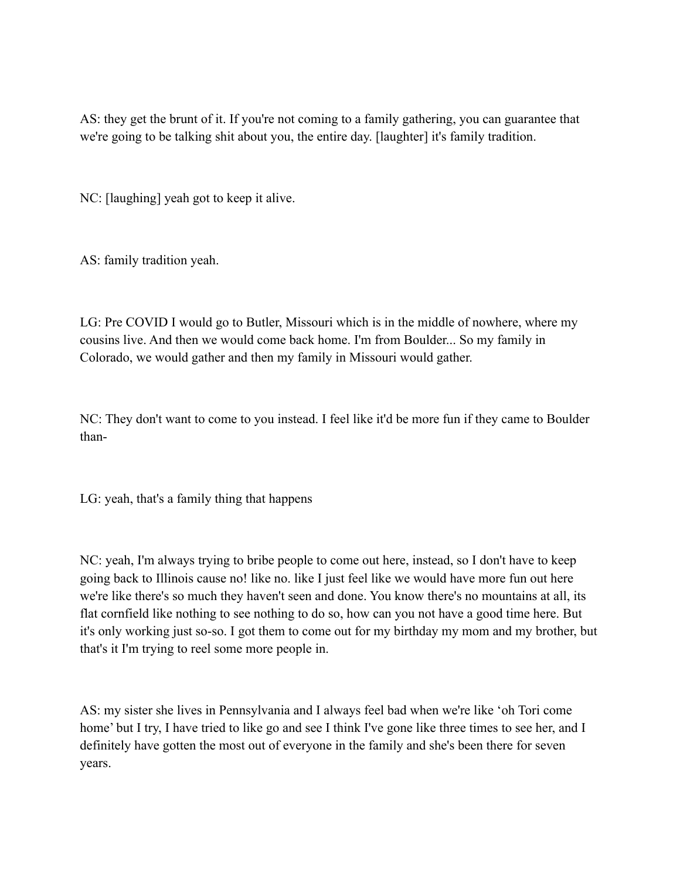AS: they get the brunt of it. If you're not coming to a family gathering, you can guarantee that we're going to be talking shit about you, the entire day. [laughter] it's family tradition.

NC: [laughing] yeah got to keep it alive.

AS: family tradition yeah.

LG: Pre COVID I would go to Butler, Missouri which is in the middle of nowhere, where my cousins live. And then we would come back home. I'm from Boulder... So my family in Colorado, we would gather and then my family in Missouri would gather.

NC: They don't want to come to you instead. I feel like it'd be more fun if they came to Boulder than-

LG: yeah, that's a family thing that happens

NC: yeah, I'm always trying to bribe people to come out here, instead, so I don't have to keep going back to Illinois cause no! like no. like I just feel like we would have more fun out here we're like there's so much they haven't seen and done. You know there's no mountains at all, its flat cornfield like nothing to see nothing to do so, how can you not have a good time here. But it's only working just so-so. I got them to come out for my birthday my mom and my brother, but that's it I'm trying to reel some more people in.

AS: my sister she lives in Pennsylvania and I always feel bad when we're like 'oh Tori come home' but I try, I have tried to like go and see I think I've gone like three times to see her, and I definitely have gotten the most out of everyone in the family and she's been there for seven years.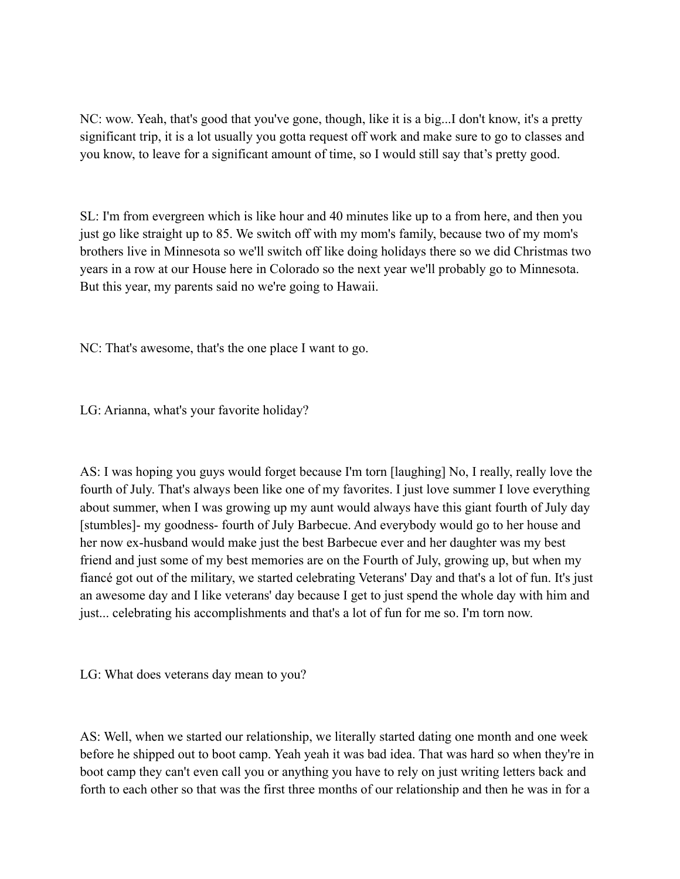NC: wow. Yeah, that's good that you've gone, though, like it is a big...I don't know, it's a pretty significant trip, it is a lot usually you gotta request off work and make sure to go to classes and you know, to leave for a significant amount of time, so I would still say that's pretty good.

SL: I'm from evergreen which is like hour and 40 minutes like up to a from here, and then you just go like straight up to 85. We switch off with my mom's family, because two of my mom's brothers live in Minnesota so we'll switch off like doing holidays there so we did Christmas two years in a row at our House here in Colorado so the next year we'll probably go to Minnesota. But this year, my parents said no we're going to Hawaii.

NC: That's awesome, that's the one place I want to go.

LG: Arianna, what's your favorite holiday?

AS: I was hoping you guys would forget because I'm torn [laughing] No, I really, really love the fourth of July. That's always been like one of my favorites. I just love summer I love everything about summer, when I was growing up my aunt would always have this giant fourth of July day [stumbles]- my goodness- fourth of July Barbecue. And everybody would go to her house and her now ex-husband would make just the best Barbecue ever and her daughter was my best friend and just some of my best memories are on the Fourth of July, growing up, but when my fiancé got out of the military, we started celebrating Veterans' Day and that's a lot of fun. It's just an awesome day and I like veterans' day because I get to just spend the whole day with him and just... celebrating his accomplishments and that's a lot of fun for me so. I'm torn now.

LG: What does veterans day mean to you?

AS: Well, when we started our relationship, we literally started dating one month and one week before he shipped out to boot camp. Yeah yeah it was bad idea. That was hard so when they're in boot camp they can't even call you or anything you have to rely on just writing letters back and forth to each other so that was the first three months of our relationship and then he was in for a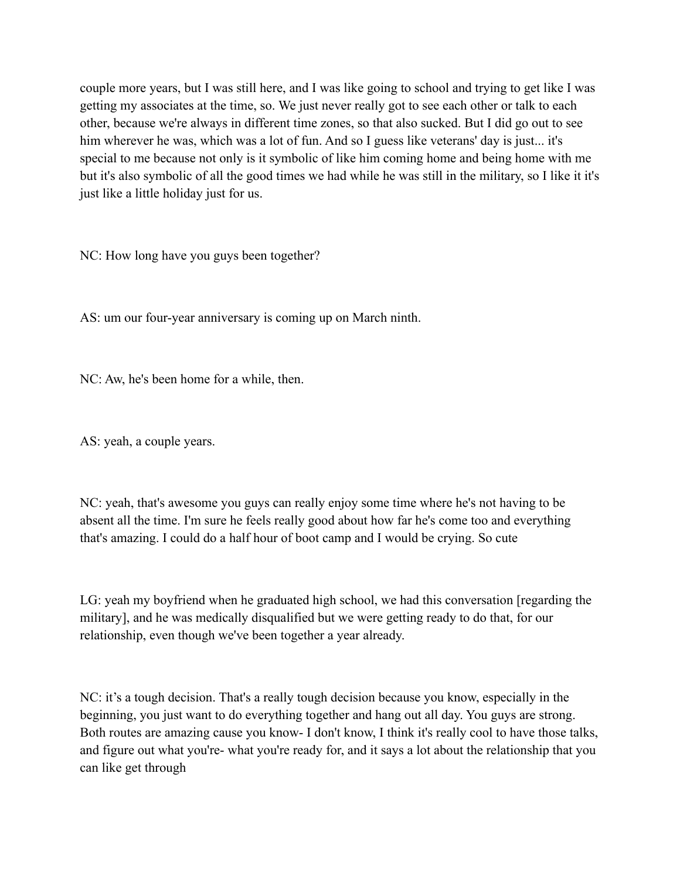couple more years, but I was still here, and I was like going to school and trying to get like I was getting my associates at the time, so. We just never really got to see each other or talk to each other, because we're always in different time zones, so that also sucked. But I did go out to see him wherever he was, which was a lot of fun. And so I guess like veterans' day is just... it's special to me because not only is it symbolic of like him coming home and being home with me but it's also symbolic of all the good times we had while he was still in the military, so I like it it's just like a little holiday just for us.

NC: How long have you guys been together?

AS: um our four-year anniversary is coming up on March ninth.

NC: Aw, he's been home for a while, then.

AS: yeah, a couple years.

NC: yeah, that's awesome you guys can really enjoy some time where he's not having to be absent all the time. I'm sure he feels really good about how far he's come too and everything that's amazing. I could do a half hour of boot camp and I would be crying. So cute

LG: yeah my boyfriend when he graduated high school, we had this conversation [regarding the military], and he was medically disqualified but we were getting ready to do that, for our relationship, even though we've been together a year already.

NC: it's a tough decision. That's a really tough decision because you know, especially in the beginning, you just want to do everything together and hang out all day. You guys are strong. Both routes are amazing cause you know- I don't know, I think it's really cool to have those talks, and figure out what you're- what you're ready for, and it says a lot about the relationship that you can like get through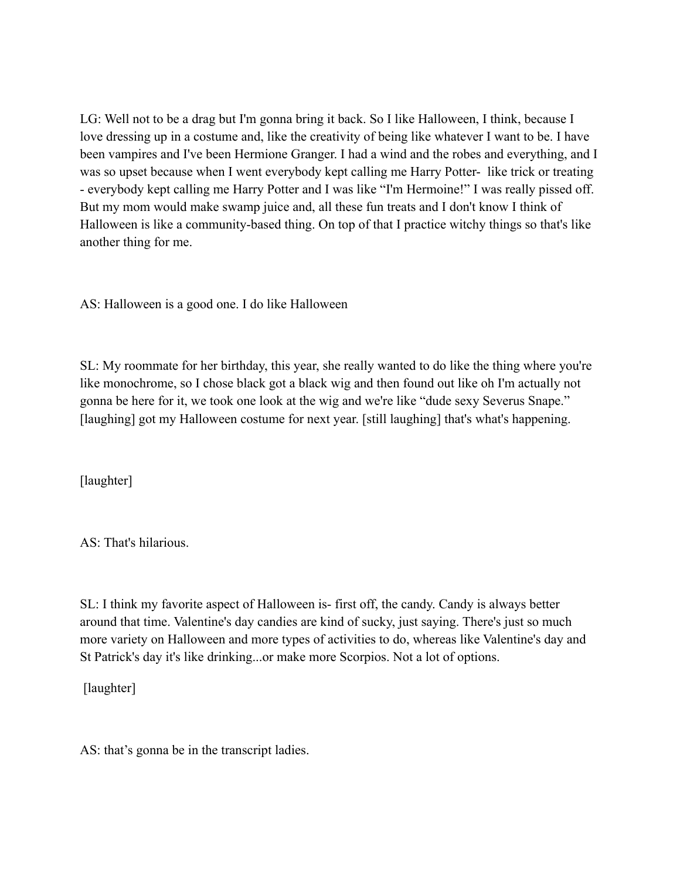LG: Well not to be a drag but I'm gonna bring it back. So I like Halloween, I think, because I love dressing up in a costume and, like the creativity of being like whatever I want to be. I have been vampires and I've been Hermione Granger. I had a wind and the robes and everything, and I was so upset because when I went everybody kept calling me Harry Potter- like trick or treating - everybody kept calling me Harry Potter and I was like "I'm Hermoine!" I was really pissed off. But my mom would make swamp juice and, all these fun treats and I don't know I think of Halloween is like a community-based thing. On top of that I practice witchy things so that's like another thing for me.

AS: Halloween is a good one. I do like Halloween

SL: My roommate for her birthday, this year, she really wanted to do like the thing where you're like monochrome, so I chose black got a black wig and then found out like oh I'm actually not gonna be here for it, we took one look at the wig and we're like "dude sexy Severus Snape." [laughing] got my Halloween costume for next year. [still laughing] that's what's happening.

[laughter]

AS: That's hilarious.

SL: I think my favorite aspect of Halloween is- first off, the candy. Candy is always better around that time. Valentine's day candies are kind of sucky, just saying. There's just so much more variety on Halloween and more types of activities to do, whereas like Valentine's day and St Patrick's day it's like drinking...or make more Scorpios. Not a lot of options.

[laughter]

AS: that's gonna be in the transcript ladies.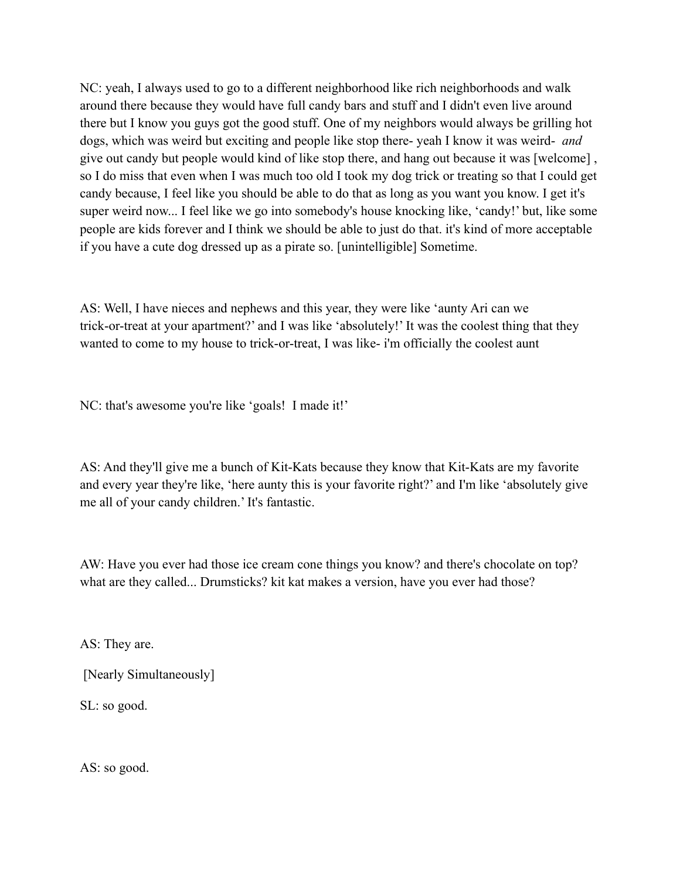NC: yeah, I always used to go to a different neighborhood like rich neighborhoods and walk around there because they would have full candy bars and stuff and I didn't even live around there but I know you guys got the good stuff. One of my neighbors would always be grilling hot dogs, which was weird but exciting and people like stop there- yeah I know it was weird- *and* give out candy but people would kind of like stop there, and hang out because it was [welcome] , so I do miss that even when I was much too old I took my dog trick or treating so that I could get candy because, I feel like you should be able to do that as long as you want you know. I get it's super weird now... I feel like we go into somebody's house knocking like, 'candy!' but, like some people are kids forever and I think we should be able to just do that. it's kind of more acceptable if you have a cute dog dressed up as a pirate so. [unintelligible] Sometime.

AS: Well, I have nieces and nephews and this year, they were like 'aunty Ari can we trick-or-treat at your apartment?' and I was like 'absolutely!' It was the coolest thing that they wanted to come to my house to trick-or-treat, I was like- i'm officially the coolest aunt

NC: that's awesome you're like 'goals! I made it!'

AS: And they'll give me a bunch of Kit-Kats because they know that Kit-Kats are my favorite and every year they're like, 'here aunty this is your favorite right?' and I'm like 'absolutely give me all of your candy children.' It's fantastic.

AW: Have you ever had those ice cream cone things you know? and there's chocolate on top? what are they called... Drumsticks? kit kat makes a version, have you ever had those?

AS: They are.

[Nearly Simultaneously]

SL: so good.

AS: so good.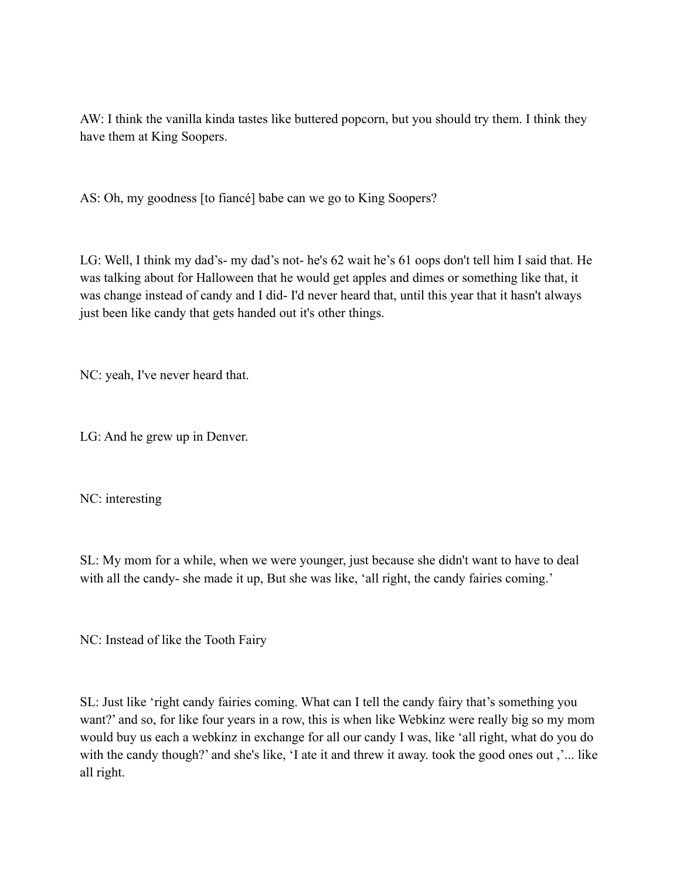AW: I think the vanilla kinda tastes like buttered popcorn, but you should try them. I think they have them at King Soopers.

AS: Oh, my goodness [to fiancé] babe can we go to King Soopers?

LG: Well, I think my dad's- my dad's not- he's 62 wait he's 61 oops don't tell him I said that. He was talking about for Halloween that he would get apples and dimes or something like that, it was change instead of candy and I did- I'd never heard that, until this year that it hasn't always just been like candy that gets handed out it's other things.

NC: yeah, I've never heard that.

LG: And he grew up in Denver.

NC: interesting

SL: My mom for a while, when we were younger, just because she didn't want to have to deal with all the candy- she made it up, But she was like, 'all right, the candy fairies coming.'

NC: Instead of like the Tooth Fairy

SL: Just like 'right candy fairies coming. What can I tell the candy fairy that's something you want?' and so, for like four years in a row, this is when like Webkinz were really big so my mom would buy us each a webkinz in exchange for all our candy I was, like 'all right, what do you do with the candy though?' and she's like, 'I ate it and threw it away. took the good ones out ,'... like all right.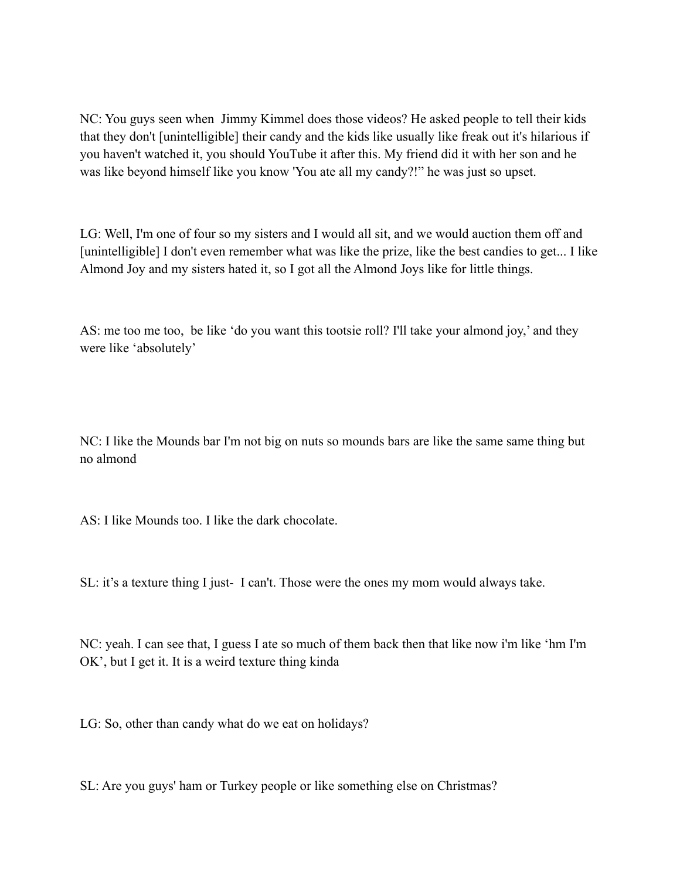NC: You guys seen when Jimmy Kimmel does those videos? He asked people to tell their kids that they don't [unintelligible] their candy and the kids like usually like freak out it's hilarious if you haven't watched it, you should YouTube it after this. My friend did it with her son and he was like beyond himself like you know 'You ate all my candy?!" he was just so upset.

LG: Well, I'm one of four so my sisters and I would all sit, and we would auction them off and [unintelligible] I don't even remember what was like the prize, like the best candies to get... I like Almond Joy and my sisters hated it, so I got all the Almond Joys like for little things.

AS: me too me too, be like 'do you want this tootsie roll? I'll take your almond joy,' and they were like 'absolutely'

NC: I like the Mounds bar I'm not big on nuts so mounds bars are like the same same thing but no almond

AS: I like Mounds too. I like the dark chocolate.

SL: it's a texture thing I just- I can't. Those were the ones my mom would always take.

NC: yeah. I can see that, I guess I ate so much of them back then that like now i'm like 'hm I'm OK', but I get it. It is a weird texture thing kinda

LG: So, other than candy what do we eat on holidays?

SL: Are you guys' ham or Turkey people or like something else on Christmas?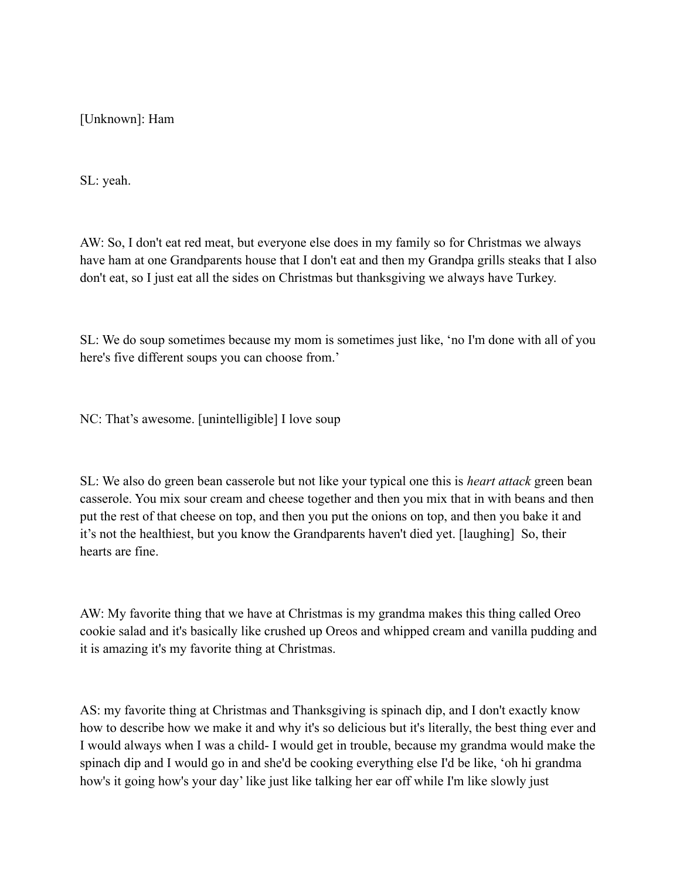[Unknown]: Ham

SL: yeah.

AW: So, I don't eat red meat, but everyone else does in my family so for Christmas we always have ham at one Grandparents house that I don't eat and then my Grandpa grills steaks that I also don't eat, so I just eat all the sides on Christmas but thanksgiving we always have Turkey.

SL: We do soup sometimes because my mom is sometimes just like, 'no I'm done with all of you here's five different soups you can choose from.'

NC: That's awesome. [unintelligible] I love soup

SL: We also do green bean casserole but not like your typical one this is *heart attack* green bean casserole. You mix sour cream and cheese together and then you mix that in with beans and then put the rest of that cheese on top, and then you put the onions on top, and then you bake it and it's not the healthiest, but you know the Grandparents haven't died yet. [laughing] So, their hearts are fine.

AW: My favorite thing that we have at Christmas is my grandma makes this thing called Oreo cookie salad and it's basically like crushed up Oreos and whipped cream and vanilla pudding and it is amazing it's my favorite thing at Christmas.

AS: my favorite thing at Christmas and Thanksgiving is spinach dip, and I don't exactly know how to describe how we make it and why it's so delicious but it's literally, the best thing ever and I would always when I was a child- I would get in trouble, because my grandma would make the spinach dip and I would go in and she'd be cooking everything else I'd be like, 'oh hi grandma how's it going how's your day' like just like talking her ear off while I'm like slowly just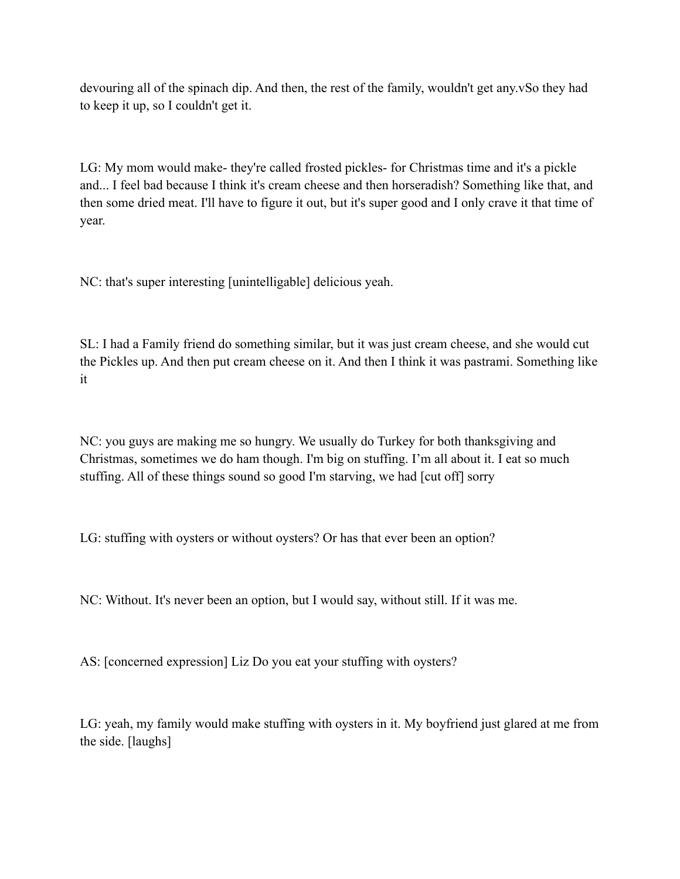devouring all of the spinach dip. And then, the rest of the family, wouldn't get any.vSo they had to keep it up, so I couldn't get it.

LG: My mom would make- they're called frosted pickles- for Christmas time and it's a pickle and... I feel bad because I think it's cream cheese and then horseradish? Something like that, and then some dried meat. I'll have to figure it out, but it's super good and I only crave it that time of year.

NC: that's super interesting [unintelligable] delicious yeah.

SL: I had a Family friend do something similar, but it was just cream cheese, and she would cut the Pickles up. And then put cream cheese on it. And then I think it was pastrami. Something like it

NC: you guys are making me so hungry. We usually do Turkey for both thanksgiving and Christmas, sometimes we do ham though. I'm big on stuffing. I'm all about it. I eat so much stuffing. All of these things sound so good I'm starving, we had [cut off] sorry

LG: stuffing with oysters or without oysters? Or has that ever been an option?

NC: Without. It's never been an option, but I would say, without still. If it was me.

AS: [concerned expression] Liz Do you eat your stuffing with oysters?

LG: yeah, my family would make stuffing with oysters in it. My boyfriend just glared at me from the side. [laughs]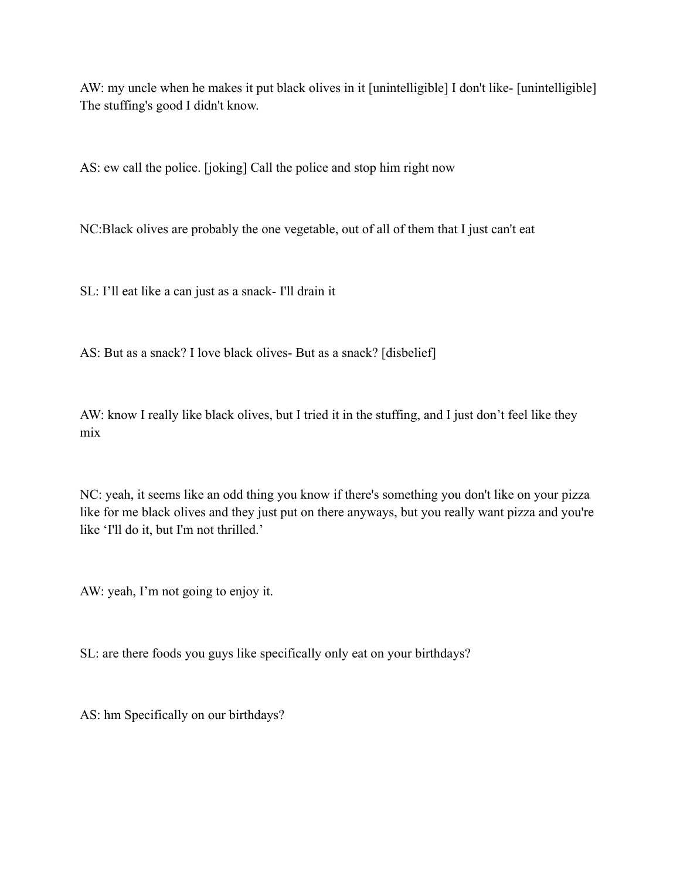AW: my uncle when he makes it put black olives in it [unintelligible] I don't like- [unintelligible] The stuffing's good I didn't know.

AS: ew call the police. [joking] Call the police and stop him right now

NC:Black olives are probably the one vegetable, out of all of them that I just can't eat

SL: I'll eat like a can just as a snack- I'll drain it

AS: But as a snack? I love black olives- But as a snack? [disbelief]

AW: know I really like black olives, but I tried it in the stuffing, and I just don't feel like they mix

NC: yeah, it seems like an odd thing you know if there's something you don't like on your pizza like for me black olives and they just put on there anyways, but you really want pizza and you're like 'I'll do it, but I'm not thrilled.'

AW: yeah, I'm not going to enjoy it.

SL: are there foods you guys like specifically only eat on your birthdays?

AS: hm Specifically on our birthdays?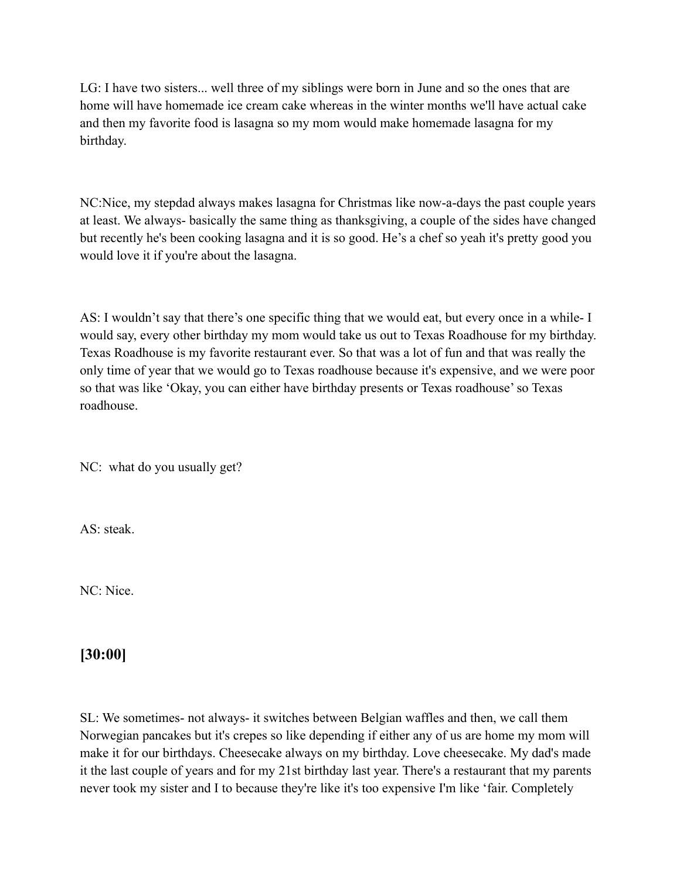LG: I have two sisters... well three of my siblings were born in June and so the ones that are home will have homemade ice cream cake whereas in the winter months we'll have actual cake and then my favorite food is lasagna so my mom would make homemade lasagna for my birthday.

NC:Nice, my stepdad always makes lasagna for Christmas like now-a-days the past couple years at least. We always- basically the same thing as thanksgiving, a couple of the sides have changed but recently he's been cooking lasagna and it is so good. He's a chef so yeah it's pretty good you would love it if you're about the lasagna.

AS: I wouldn't say that there's one specific thing that we would eat, but every once in a while- I would say, every other birthday my mom would take us out to Texas Roadhouse for my birthday. Texas Roadhouse is my favorite restaurant ever. So that was a lot of fun and that was really the only time of year that we would go to Texas roadhouse because it's expensive, and we were poor so that was like 'Okay, you can either have birthday presents or Texas roadhouse' so Texas roadhouse.

NC: what do you usually get?

AS: steak.

NC: Nice.

## **[30:00]**

SL: We sometimes- not always- it switches between Belgian waffles and then, we call them Norwegian pancakes but it's crepes so like depending if either any of us are home my mom will make it for our birthdays. Cheesecake always on my birthday. Love cheesecake. My dad's made it the last couple of years and for my 21st birthday last year. There's a restaurant that my parents never took my sister and I to because they're like it's too expensive I'm like 'fair. Completely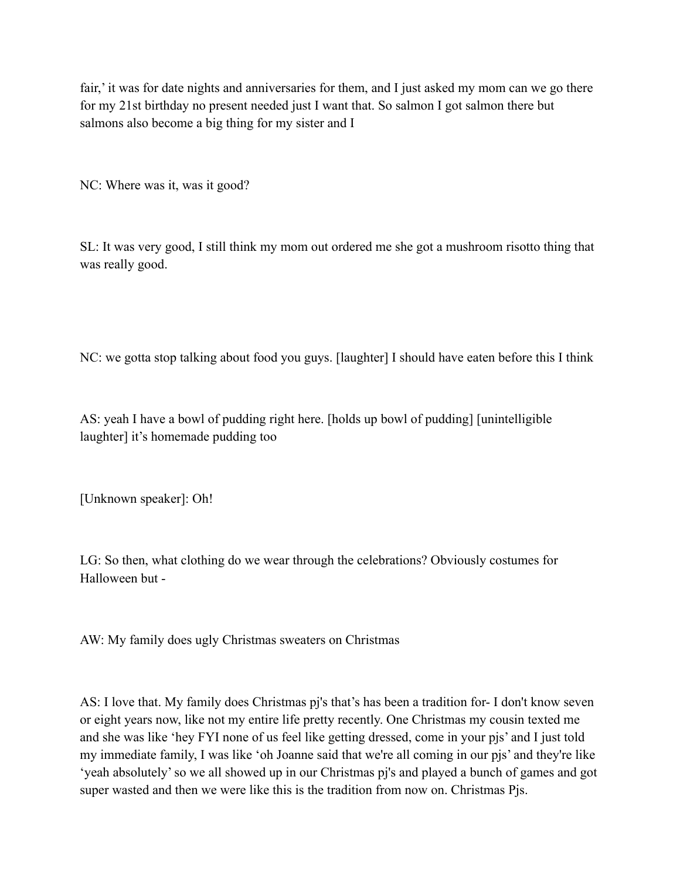fair,' it was for date nights and anniversaries for them, and I just asked my mom can we go there for my 21st birthday no present needed just I want that. So salmon I got salmon there but salmons also become a big thing for my sister and I

NC: Where was it, was it good?

SL: It was very good, I still think my mom out ordered me she got a mushroom risotto thing that was really good.

NC: we gotta stop talking about food you guys. [laughter] I should have eaten before this I think

AS: yeah I have a bowl of pudding right here. [holds up bowl of pudding] [unintelligible laughter] it's homemade pudding too

[Unknown speaker]: Oh!

LG: So then, what clothing do we wear through the celebrations? Obviously costumes for Halloween but -

AW: My family does ugly Christmas sweaters on Christmas

AS: I love that. My family does Christmas pj's that's has been a tradition for- I don't know seven or eight years now, like not my entire life pretty recently. One Christmas my cousin texted me and she was like 'hey FYI none of us feel like getting dressed, come in your pjs' and I just told my immediate family, I was like 'oh Joanne said that we're all coming in our pjs' and they're like 'yeah absolutely' so we all showed up in our Christmas pj's and played a bunch of games and got super wasted and then we were like this is the tradition from now on. Christmas Pjs.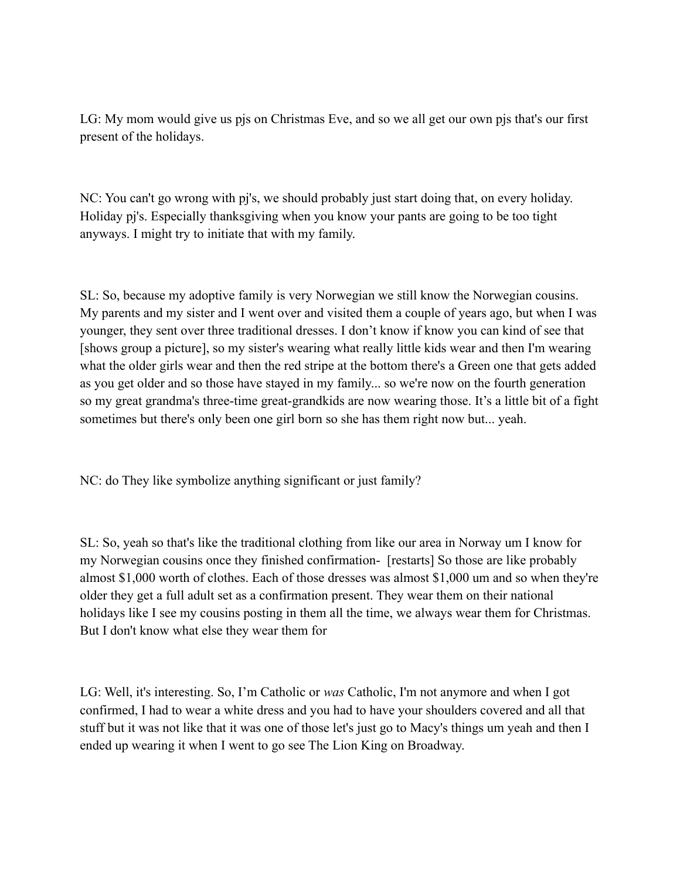LG: My mom would give us pjs on Christmas Eve, and so we all get our own pjs that's our first present of the holidays.

NC: You can't go wrong with pj's, we should probably just start doing that, on every holiday. Holiday pj's. Especially thanksgiving when you know your pants are going to be too tight anyways. I might try to initiate that with my family.

SL: So, because my adoptive family is very Norwegian we still know the Norwegian cousins. My parents and my sister and I went over and visited them a couple of years ago, but when I was younger, they sent over three traditional dresses. I don't know if know you can kind of see that [shows group a picture], so my sister's wearing what really little kids wear and then I'm wearing what the older girls wear and then the red stripe at the bottom there's a Green one that gets added as you get older and so those have stayed in my family... so we're now on the fourth generation so my great grandma's three-time great-grandkids are now wearing those. It's a little bit of a fight sometimes but there's only been one girl born so she has them right now but... yeah.

NC: do They like symbolize anything significant or just family?

SL: So, yeah so that's like the traditional clothing from like our area in Norway um I know for my Norwegian cousins once they finished confirmation- [restarts] So those are like probably almost \$1,000 worth of clothes. Each of those dresses was almost \$1,000 um and so when they're older they get a full adult set as a confirmation present. They wear them on their national holidays like I see my cousins posting in them all the time, we always wear them for Christmas. But I don't know what else they wear them for

LG: Well, it's interesting. So, I'm Catholic or *was* Catholic, I'm not anymore and when I got confirmed, I had to wear a white dress and you had to have your shoulders covered and all that stuff but it was not like that it was one of those let's just go to Macy's things um yeah and then I ended up wearing it when I went to go see The Lion King on Broadway.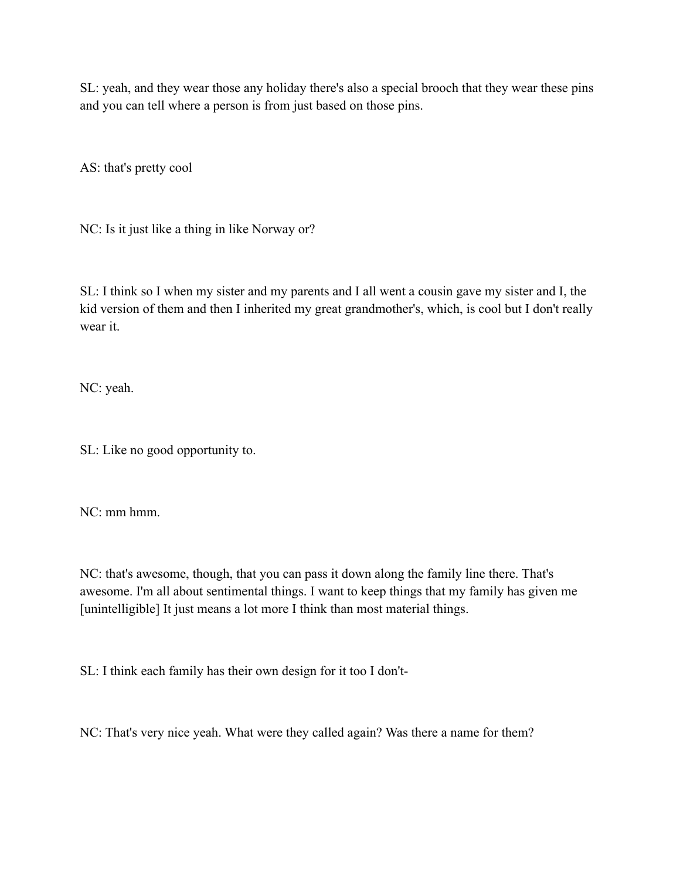SL: yeah, and they wear those any holiday there's also a special brooch that they wear these pins and you can tell where a person is from just based on those pins.

AS: that's pretty cool

NC: Is it just like a thing in like Norway or?

SL: I think so I when my sister and my parents and I all went a cousin gave my sister and I, the kid version of them and then I inherited my great grandmother's, which, is cool but I don't really wear it.

NC: yeah.

SL: Like no good opportunity to.

NC: mm hmm.

NC: that's awesome, though, that you can pass it down along the family line there. That's awesome. I'm all about sentimental things. I want to keep things that my family has given me [unintelligible] It just means a lot more I think than most material things.

SL: I think each family has their own design for it too I don't-

NC: That's very nice yeah. What were they called again? Was there a name for them?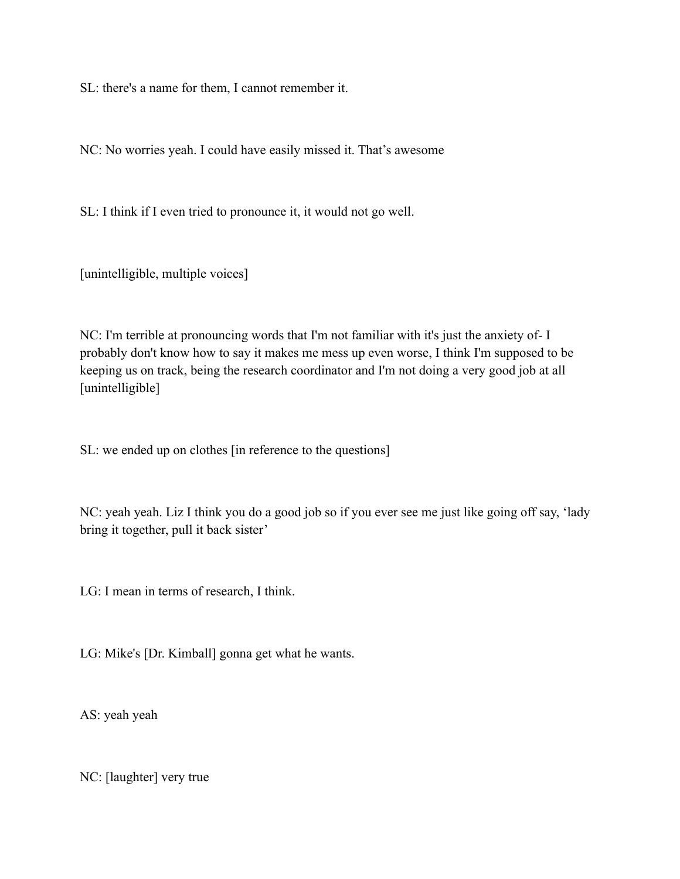SL: there's a name for them, I cannot remember it.

NC: No worries yeah. I could have easily missed it. That's awesome

SL: I think if I even tried to pronounce it, it would not go well.

[unintelligible, multiple voices]

NC: I'm terrible at pronouncing words that I'm not familiar with it's just the anxiety of- I probably don't know how to say it makes me mess up even worse, I think I'm supposed to be keeping us on track, being the research coordinator and I'm not doing a very good job at all [unintelligible]

SL: we ended up on clothes [in reference to the questions]

NC: yeah yeah. Liz I think you do a good job so if you ever see me just like going off say, 'lady bring it together, pull it back sister'

LG: I mean in terms of research, I think.

LG: Mike's [Dr. Kimball] gonna get what he wants.

AS: yeah yeah

NC: [laughter] very true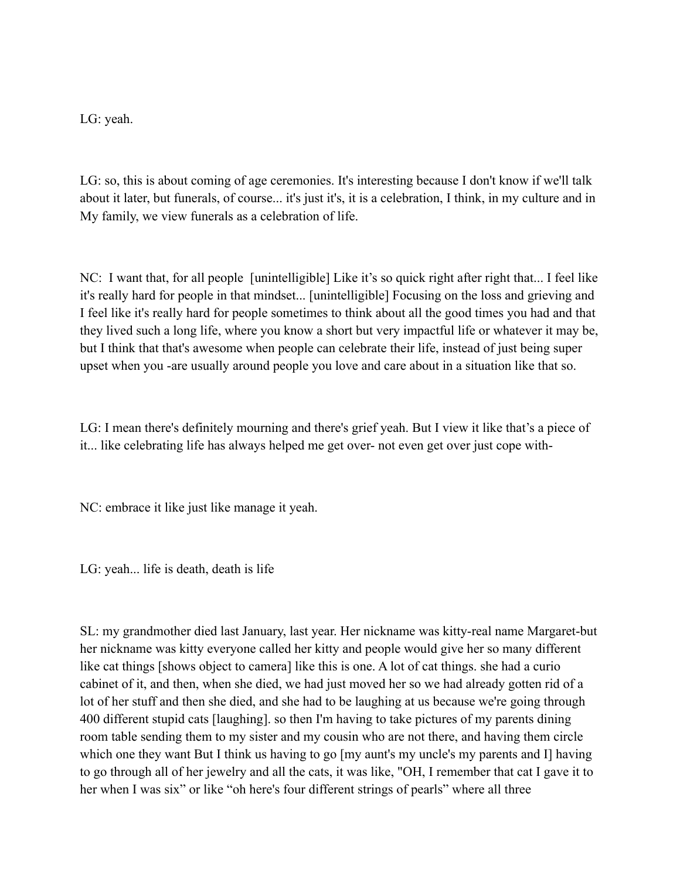LG: yeah.

LG: so, this is about coming of age ceremonies. It's interesting because I don't know if we'll talk about it later, but funerals, of course... it's just it's, it is a celebration, I think, in my culture and in My family, we view funerals as a celebration of life.

NC: I want that, for all people [unintelligible] Like it's so quick right after right that... I feel like it's really hard for people in that mindset... [unintelligible] Focusing on the loss and grieving and I feel like it's really hard for people sometimes to think about all the good times you had and that they lived such a long life, where you know a short but very impactful life or whatever it may be, but I think that that's awesome when people can celebrate their life, instead of just being super upset when you -are usually around people you love and care about in a situation like that so.

LG: I mean there's definitely mourning and there's grief yeah. But I view it like that's a piece of it... like celebrating life has always helped me get over- not even get over just cope with-

NC: embrace it like just like manage it yeah.

LG: yeah... life is death, death is life

SL: my grandmother died last January, last year. Her nickname was kitty-real name Margaret-but her nickname was kitty everyone called her kitty and people would give her so many different like cat things [shows object to camera] like this is one. A lot of cat things. she had a curio cabinet of it, and then, when she died, we had just moved her so we had already gotten rid of a lot of her stuff and then she died, and she had to be laughing at us because we're going through 400 different stupid cats [laughing]. so then I'm having to take pictures of my parents dining room table sending them to my sister and my cousin who are not there, and having them circle which one they want But I think us having to go [my aunt's my uncle's my parents and I] having to go through all of her jewelry and all the cats, it was like, "OH, I remember that cat I gave it to her when I was six" or like "oh here's four different strings of pearls" where all three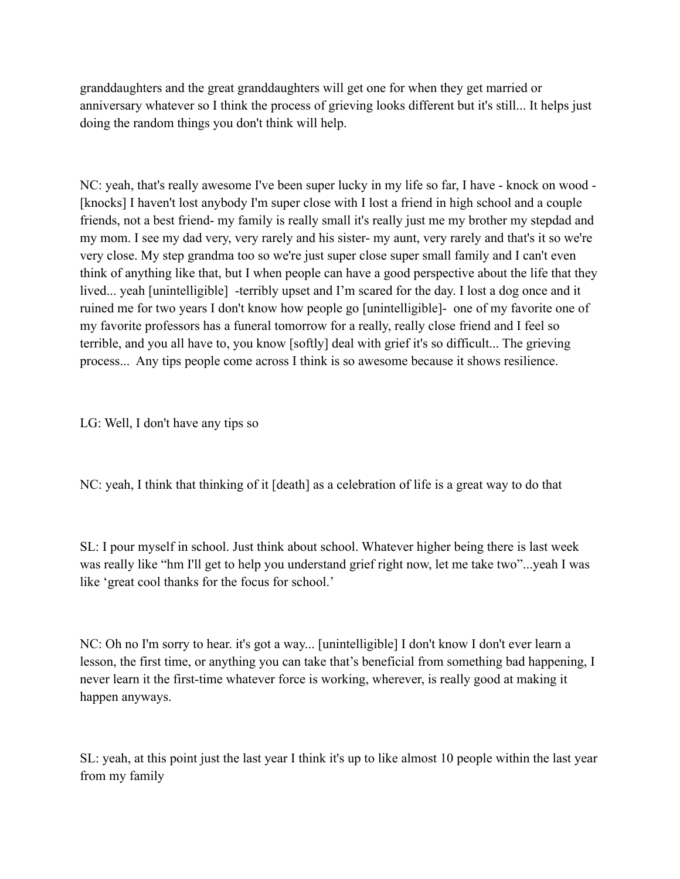granddaughters and the great granddaughters will get one for when they get married or anniversary whatever so I think the process of grieving looks different but it's still... It helps just doing the random things you don't think will help.

NC: yeah, that's really awesome I've been super lucky in my life so far, I have - knock on wood - [knocks] I haven't lost anybody I'm super close with I lost a friend in high school and a couple friends, not a best friend- my family is really small it's really just me my brother my stepdad and my mom. I see my dad very, very rarely and his sister- my aunt, very rarely and that's it so we're very close. My step grandma too so we're just super close super small family and I can't even think of anything like that, but I when people can have a good perspective about the life that they lived... yeah [unintelligible] -terribly upset and I'm scared for the day. I lost a dog once and it ruined me for two years I don't know how people go [unintelligible]- one of my favorite one of my favorite professors has a funeral tomorrow for a really, really close friend and I feel so terrible, and you all have to, you know [softly] deal with grief it's so difficult... The grieving process... Any tips people come across I think is so awesome because it shows resilience.

LG: Well, I don't have any tips so

NC: yeah, I think that thinking of it [death] as a celebration of life is a great way to do that

SL: I pour myself in school. Just think about school. Whatever higher being there is last week was really like "hm I'll get to help you understand grief right now, let me take two"...yeah I was like 'great cool thanks for the focus for school.'

NC: Oh no I'm sorry to hear. it's got a way... [unintelligible] I don't know I don't ever learn a lesson, the first time, or anything you can take that's beneficial from something bad happening, I never learn it the first-time whatever force is working, wherever, is really good at making it happen anyways.

SL: yeah, at this point just the last year I think it's up to like almost 10 people within the last year from my family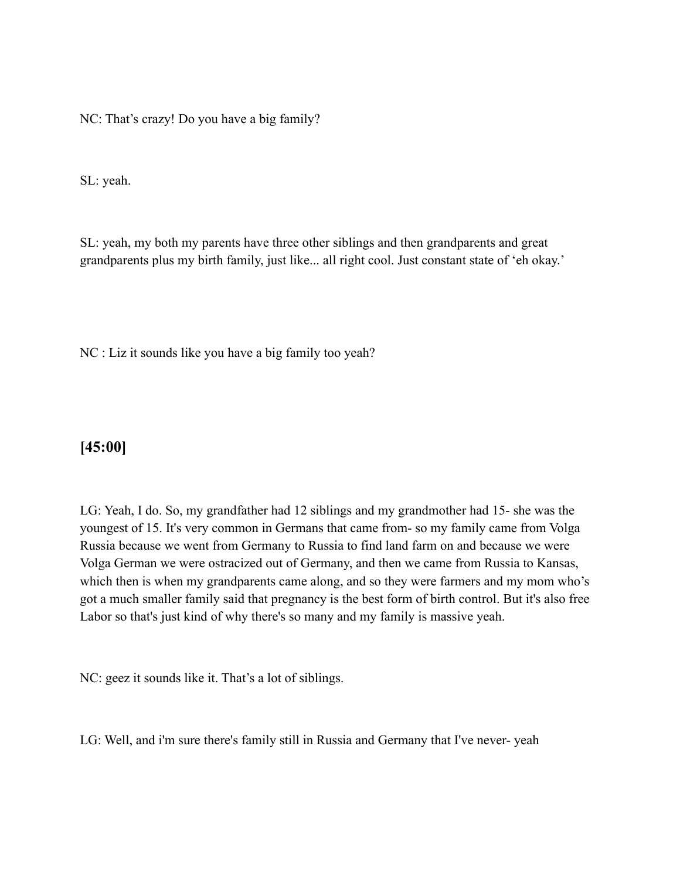NC: That's crazy! Do you have a big family?

SL: yeah.

SL: yeah, my both my parents have three other siblings and then grandparents and great grandparents plus my birth family, just like... all right cool. Just constant state of 'eh okay.'

NC : Liz it sounds like you have a big family too yeah?

## **[45:00]**

LG: Yeah, I do. So, my grandfather had 12 siblings and my grandmother had 15- she was the youngest of 15. It's very common in Germans that came from- so my family came from Volga Russia because we went from Germany to Russia to find land farm on and because we were Volga German we were ostracized out of Germany, and then we came from Russia to Kansas, which then is when my grandparents came along, and so they were farmers and my mom who's got a much smaller family said that pregnancy is the best form of birth control. But it's also free Labor so that's just kind of why there's so many and my family is massive yeah.

NC: geez it sounds like it. That's a lot of siblings.

LG: Well, and i'm sure there's family still in Russia and Germany that I've never- yeah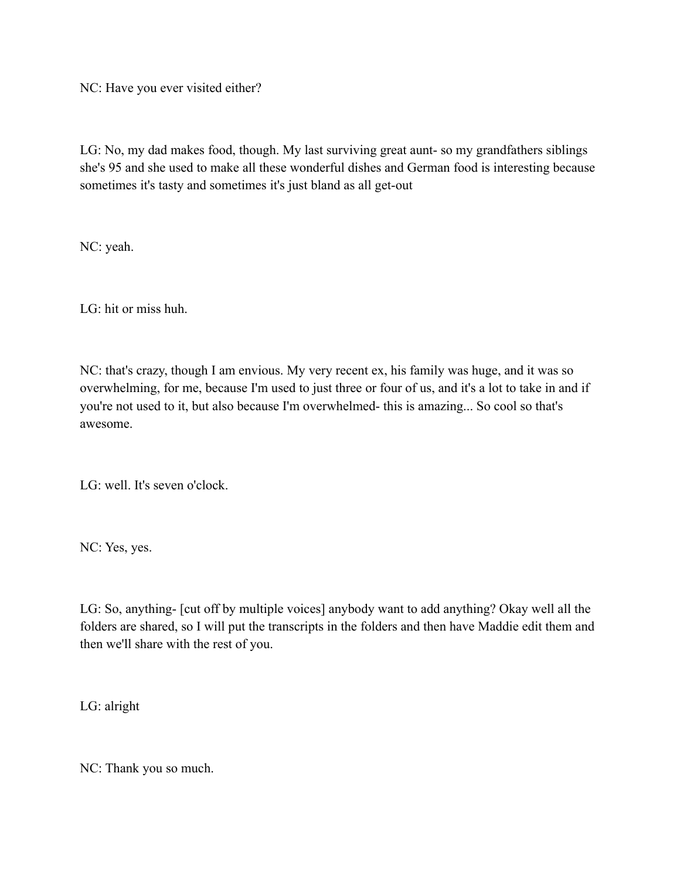NC: Have you ever visited either?

LG: No, my dad makes food, though. My last surviving great aunt- so my grandfathers siblings she's 95 and she used to make all these wonderful dishes and German food is interesting because sometimes it's tasty and sometimes it's just bland as all get-out

NC: yeah.

LG: hit or miss huh.

NC: that's crazy, though I am envious. My very recent ex, his family was huge, and it was so overwhelming, for me, because I'm used to just three or four of us, and it's a lot to take in and if you're not used to it, but also because I'm overwhelmed- this is amazing... So cool so that's awesome.

LG: well. It's seven o'clock.

NC: Yes, yes.

LG: So, anything- [cut off by multiple voices] anybody want to add anything? Okay well all the folders are shared, so I will put the transcripts in the folders and then have Maddie edit them and then we'll share with the rest of you.

LG: alright

NC: Thank you so much.